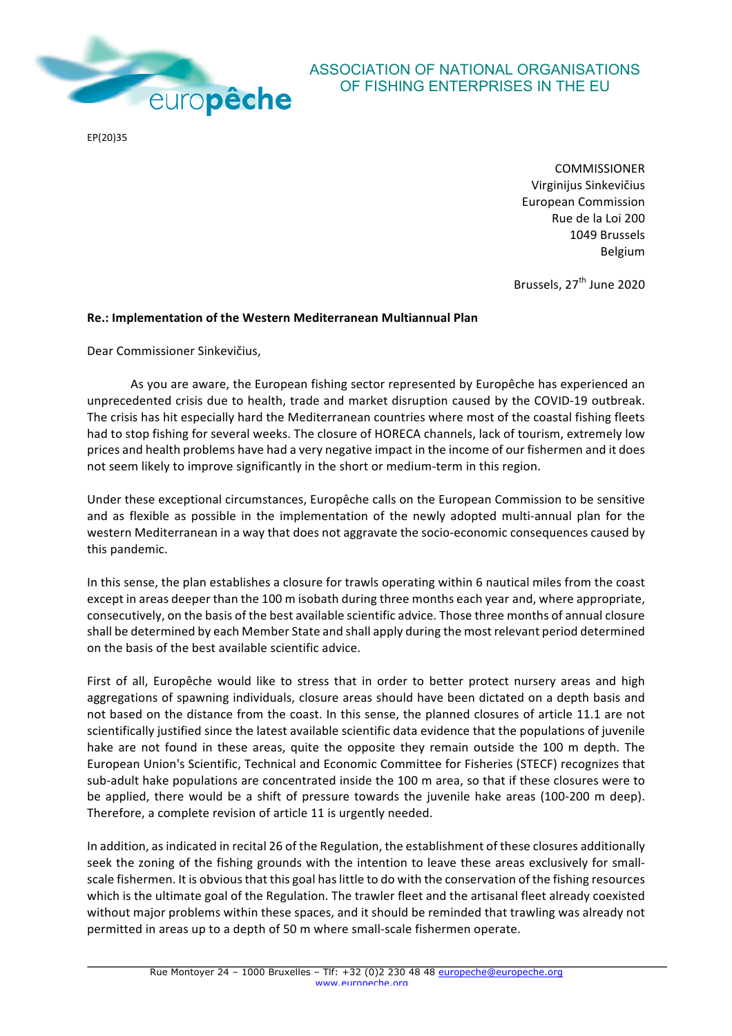

## ASSOCIATION OF NATIONAL ORGANISATIONS OF FISHING ENTERPRISES IN THE EU

EP(20)35

COMMISSIONER Virginijus Sinkevičius European Commission Rue de la Loi 200 1049 Brussels Belgium

Brussels, 27<sup>th</sup> June 2020

## **Re.: Implementation of the Western Mediterranean Multiannual Plan**

Dear Commissioner Sinkevičius,

As you are aware, the European fishing sector represented by Europêche has experienced an unprecedented crisis due to health, trade and market disruption caused by the COVID-19 outbreak. The crisis has hit especially hard the Mediterranean countries where most of the coastal fishing fleets had to stop fishing for several weeks. The closure of HORECA channels, lack of tourism, extremely low prices and health problems have had a very negative impact in the income of our fishermen and it does not seem likely to improve significantly in the short or medium-term in this region.

Under these exceptional circumstances, Europêche calls on the European Commission to be sensitive and as flexible as possible in the implementation of the newly adopted multi-annual plan for the western Mediterranean in a way that does not aggravate the socio-economic consequences caused by this pandemic.

In this sense, the plan establishes a closure for trawls operating within 6 nautical miles from the coast except in areas deeper than the 100 m isobath during three months each year and, where appropriate, consecutively, on the basis of the best available scientific advice. Those three months of annual closure shall be determined by each Member State and shall apply during the most relevant period determined on the basis of the best available scientific advice.

First of all, Europêche would like to stress that in order to better protect nursery areas and high aggregations of spawning individuals, closure areas should have been dictated on a depth basis and not based on the distance from the coast. In this sense, the planned closures of article 11.1 are not scientifically justified since the latest available scientific data evidence that the populations of juvenile hake are not found in these areas, quite the opposite they remain outside the 100 m depth. The European Union's Scientific, Technical and Economic Committee for Fisheries (STECF) recognizes that sub-adult hake populations are concentrated inside the 100 m area, so that if these closures were to be applied, there would be a shift of pressure towards the juvenile hake areas (100-200 m deep). Therefore, a complete revision of article 11 is urgently needed.

In addition, as indicated in recital 26 of the Regulation, the establishment of these closures additionally seek the zoning of the fishing grounds with the intention to leave these areas exclusively for smallscale fishermen. It is obvious that this goal has little to do with the conservation of the fishing resources which is the ultimate goal of the Regulation. The trawler fleet and the artisanal fleet already coexisted without major problems within these spaces, and it should be reminded that trawling was already not permitted in areas up to a depth of 50 m where small-scale fishermen operate.